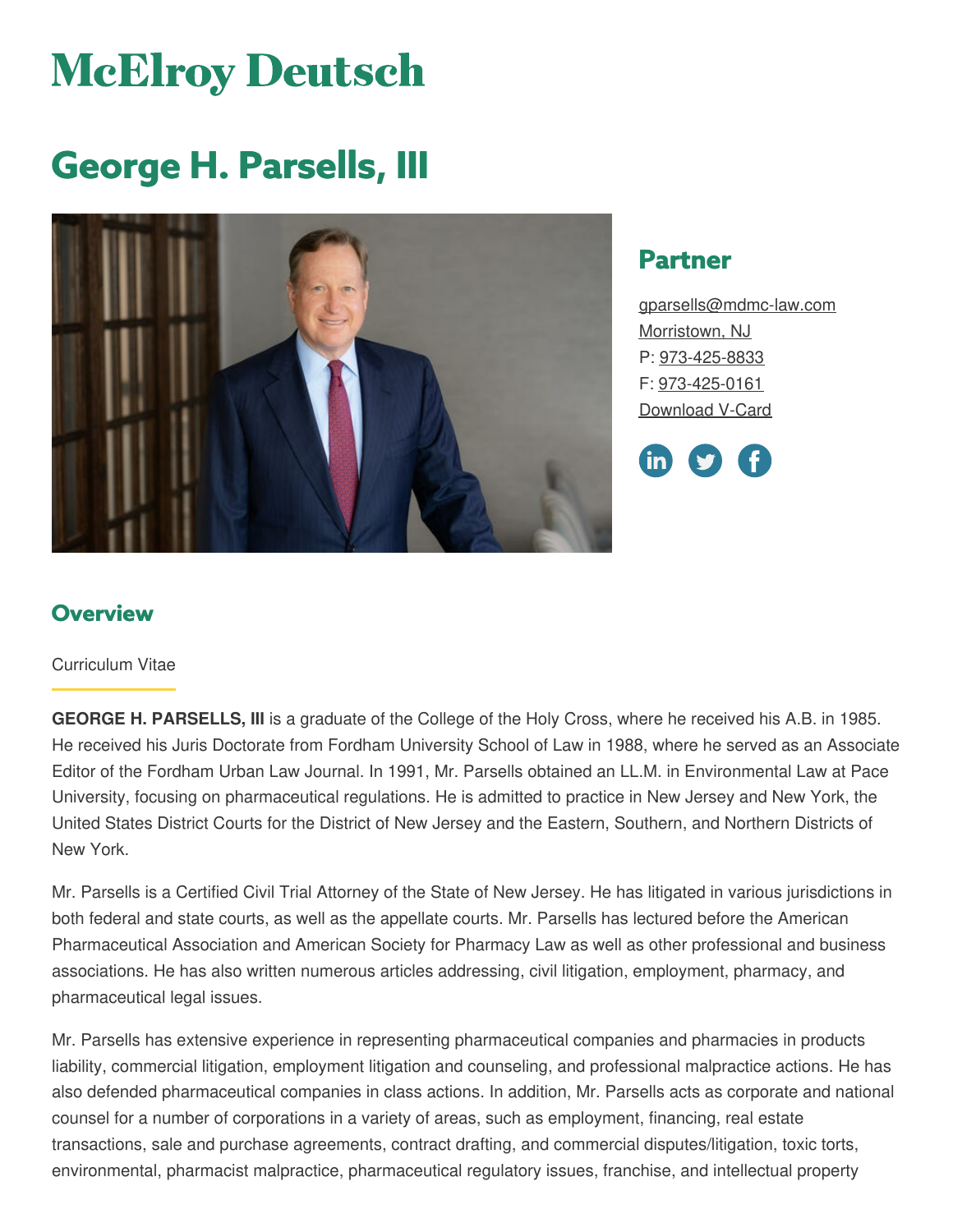# **McElroy Deutsch**

# **George H. Parsells, III**



# **Partner**

[gparsells@mdmc-law.com](mailto:gparsells@mdmc-law.com) [Morristown,](https://www.mdmc-law.com/offices/morristown) NJ P: [973-425-8833](tel:973-425-8833) F: [973-425-0161](tel:973-425-0161) [Download](https://www.mdmc-law.com/node/111/vcard) V-Card



# **Overview**

#### Curriculum Vitae

**GEORGE H. PARSELLS, III** is a graduate of the College of the Holy Cross, where he received his A.B. in 1985. He received his Juris Doctorate from Fordham University School of Law in 1988, where he served as an Associate Editor of the Fordham Urban Law Journal. In 1991, Mr. Parsells obtained an LL.M. in Environmental Law at Pace University, focusing on pharmaceutical regulations. He is admitted to practice in New Jersey and New York, the United States District Courts for the District of New Jersey and the Eastern, Southern, and Northern Districts of New York.

Mr. Parsells is a Certified Civil Trial Attorney of the State of New Jersey. He has litigated in various jurisdictions in both federal and state courts, as well as the appellate courts. Mr. Parsells has lectured before the American Pharmaceutical Association and American Society for Pharmacy Law as well as other professional and business associations. He has also written numerous articles addressing, civil litigation, employment, pharmacy, and pharmaceutical legal issues.

Mr. Parsells has extensive experience in representing pharmaceutical companies and pharmacies in products liability, commercial litigation, employment litigation and counseling, and professional malpractice actions. He has also defended pharmaceutical companies in class actions. In addition, Mr. Parsells acts as corporate and national counsel for a number of corporations in a variety of areas, such as employment, financing, real estate transactions, sale and purchase agreements, contract drafting, and commercial disputes/litigation, toxic torts, environmental, pharmacist malpractice, pharmaceutical regulatory issues, franchise, and intellectual property